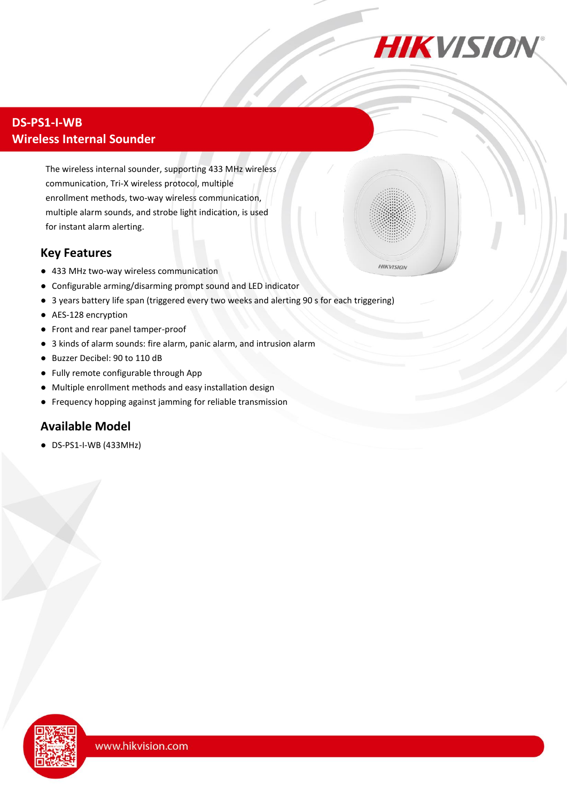

**HIKVISION** 

## **DS-PS1-I-WB Wireless Internal Sounder**

The wireless internal sounder, supporting 433 MHz wireless communication, Tri-X wireless protocol, multiple enrollment methods, two-way wireless communication, multiple alarm sounds, and strobe light indication, is used for instant alarm alerting.

## **Key Features**

- 433 MHz two-way wireless communication
- Configurable arming/disarming prompt sound and LED indicator
- 3 years battery life span (triggered every two weeks and alerting 90 s for each triggering)
- AES-128 encryption
- Front and rear panel tamper-proof
- 3 kinds of alarm sounds: fire alarm, panic alarm, and intrusion alarm
- Buzzer Decibel: 90 to 110 dB
- Fully remote configurable through App
- Multiple enrollment methods and easy installation design
- Frequency hopping against jamming for reliable transmission

## **Available Model**

● DS-PS1-I-WB (433MHz)

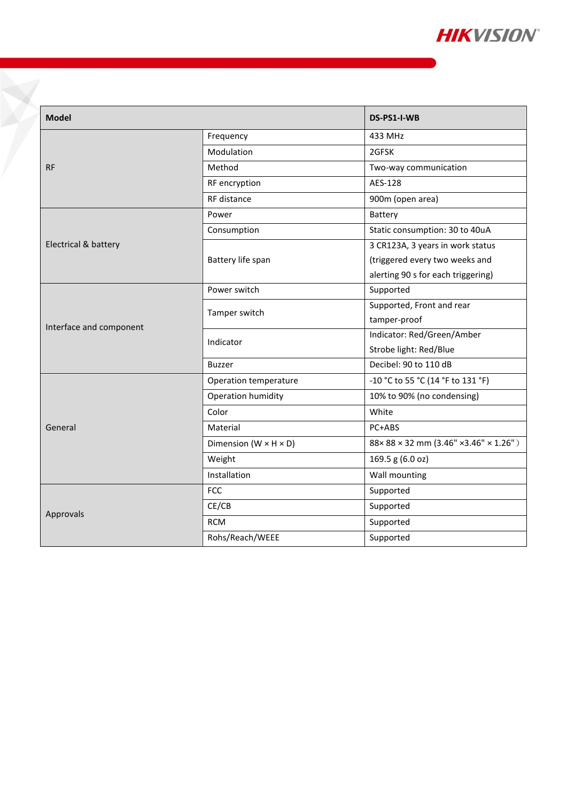

| <b>Model</b>            |                                     | DS-PS1-I-WB                        |
|-------------------------|-------------------------------------|------------------------------------|
| <b>RF</b>               | Frequency                           | 433 MHz                            |
|                         | Modulation                          | 2GFSK                              |
|                         | Method                              | Two-way communication              |
|                         | RF encryption                       | AES-128                            |
|                         | RF distance                         | 900m (open area)                   |
| Electrical & battery    | Power                               | Battery                            |
|                         | Consumption                         | Static consumption: 30 to 40uA     |
|                         | Battery life span                   | 3 CR123A, 3 years in work status   |
|                         |                                     | (triggered every two weeks and     |
|                         |                                     | alerting 90 s for each triggering) |
| Interface and component | Power switch                        | Supported                          |
|                         | Tamper switch                       | Supported, Front and rear          |
|                         |                                     | tamper-proof                       |
|                         | Indicator                           | Indicator: Red/Green/Amber         |
|                         |                                     | Strobe light: Red/Blue             |
|                         | <b>Buzzer</b>                       | Decibel: 90 to 110 dB              |
| General                 | Operation temperature               | -10 °C to 55 °C (14 °F to 131 °F)  |
|                         | Operation humidity                  | 10% to 90% (no condensing)         |
|                         | Color                               | White                              |
|                         | Material                            | PC+ABS                             |
|                         | Dimension ( $W \times H \times D$ ) | 88×88×32 mm (3.46" ×3.46" × 1.26") |
|                         | Weight                              | 169.5 g (6.0 oz)                   |
|                         | Installation                        | Wall mounting                      |
| Approvals               | <b>FCC</b>                          | Supported                          |
|                         | CE/CB                               | Supported                          |
|                         | <b>RCM</b>                          | Supported                          |
|                         | Rohs/Reach/WEEE                     | Supported                          |